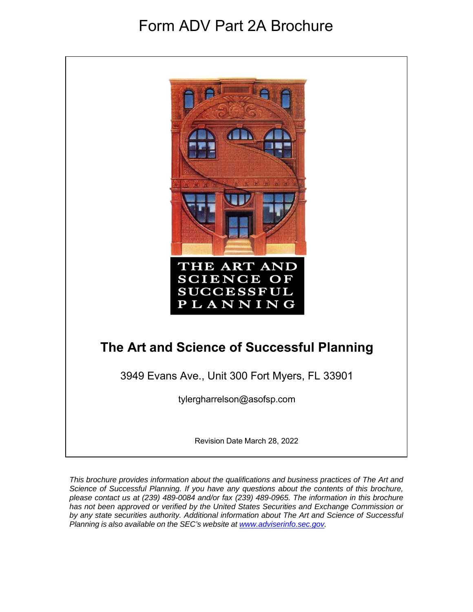# Form ADV Part 2A Brochure



*This brochure provides information about the qualifications and business practices of The Art and Science of Successful Planning. If you have any questions about the contents of this brochure, please contact us at (239) 489-0084 and/or fax (239) 489-0965. The information in this brochure has not been approved or verified by the United States Securities and Exchange Commission or by any state securities authority. Additional information about The Art and Science of Successful Planning is also available on the SEC's website at www.adviserinfo.sec.gov.*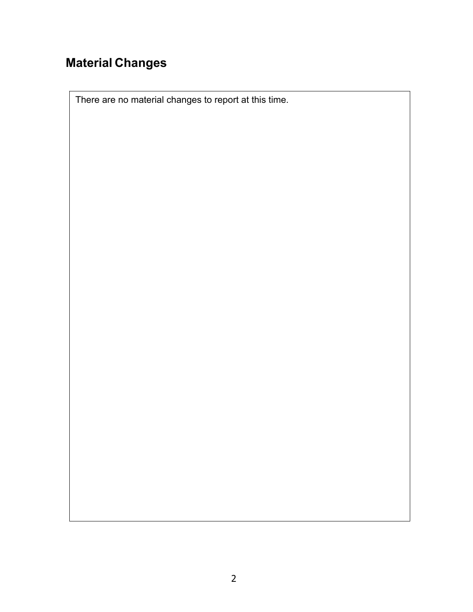# **Material Changes**

There are no material changes to report at this time.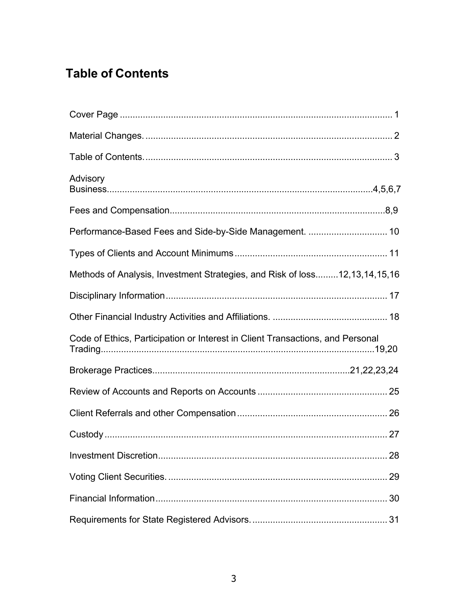## **Table of Contents**

| Advisory                                                                       |  |
|--------------------------------------------------------------------------------|--|
|                                                                                |  |
| Performance-Based Fees and Side-by-Side Management.  10                        |  |
|                                                                                |  |
| Methods of Analysis, Investment Strategies, and Risk of loss12,13,14,15,16     |  |
|                                                                                |  |
|                                                                                |  |
| Code of Ethics, Participation or Interest in Client Transactions, and Personal |  |
|                                                                                |  |
|                                                                                |  |
|                                                                                |  |
|                                                                                |  |
|                                                                                |  |
|                                                                                |  |
|                                                                                |  |
|                                                                                |  |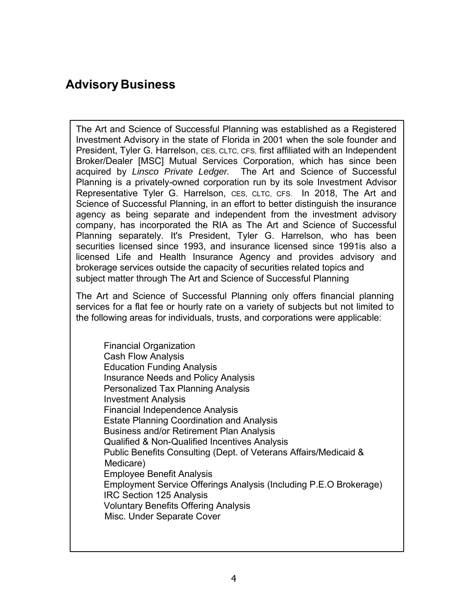#### **Advisory Business**

The Art and Science of Successful Planning was established as a Registered Investment Advisory in the state of Florida in 2001 when the sole founder and President, Tyler G. Harrelson, CES, CLTC, CFS, first affiliated with an Independent Broker/Dealer [MSC] Mutual Services Corporation, which has since been acquired by *Linsco Private Ledger.* The Art and Science of Successful Planning is a privately-owned corporation run by its sole Investment Advisor Representative Tyler G. Harrelson, CES, CLTC, CFS. In 2018, The Art and Science of Successful Planning, in an effort to better distinguish the insurance agency as being separate and independent from the investment advisory company, has incorporated the RIA as The Art and Science of Successful Planning separately. It's President, Tyler G. Harrelson, who has been securities licensed since 1993, and insurance licensed since 1991is also a licensed Life and Health Insurance Agency and provides advisory and brokerage services outside the capacity of securities related topics and subject matter through The Art and Science of Successful Planning

The Art and Science of Successful Planning only offers financial planning services for a flat fee or hourly rate on a variety of subjects but not limited to the following areas for individuals, trusts, and corporations were applicable:

Financial Organization Cash Flow Analysis Education Funding Analysis Insurance Needs and Policy Analysis Personalized Tax Planning Analysis Investment Analysis Financial Independence Analysis Estate Planning Coordination and Analysis Business and/or Retirement Plan Analysis Qualified & Non-Qualified Incentives Analysis Public Benefits Consulting (Dept. of Veterans Affairs/Medicaid & Medicare) Employee Benefit Analysis Employment Service Offerings Analysis (Including P.E.O Brokerage) IRC Section 125 Analysis Voluntary Benefits Offering Analysis Misc. Under Separate Cover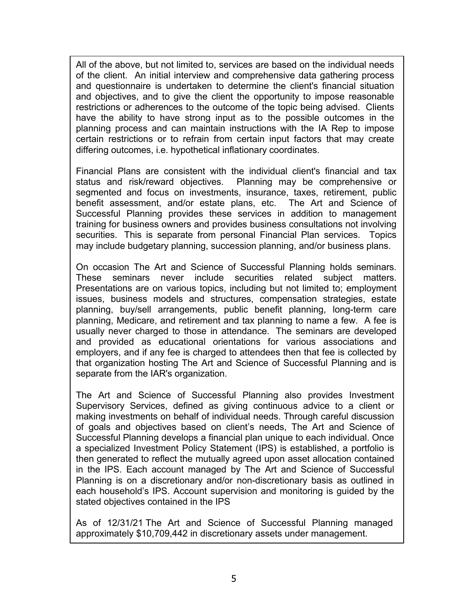All of the above, but not limited to, services are based on the individual needs of the client. An initial interview and comprehensive data gathering process and questionnaire is undertaken to determine the client's financial situation and objectives, and to give the client the opportunity to impose reasonable restrictions or adherences to the outcome of the topic being advised. Clients have the ability to have strong input as to the possible outcomes in the planning process and can maintain instructions with the IA Rep to impose certain restrictions or to refrain from certain input factors that may create differing outcomes, i.e. hypothetical inflationary coordinates.

Financial Plans are consistent with the individual client's financial and tax status and risk/reward objectives. Planning may be comprehensive or segmented and focus on investments, insurance, taxes, retirement, public benefit assessment, and/or estate plans, etc. The Art and Science of Successful Planning provides these services in addition to management training for business owners and provides business consultations not involving securities. This is separate from personal Financial Plan services. Topics may include budgetary planning, succession planning, and/or business plans.

On occasion The Art and Science of Successful Planning holds seminars. These seminars never include securities related subject matters. Presentations are on various topics, including but not limited to; employment issues, business models and structures, compensation strategies, estate planning, buy/sell arrangements, public benefit planning, long-term care planning, Medicare, and retirement and tax planning to name a few. A fee is usually never charged to those in attendance. The seminars are developed and provided as educational orientations for various associations and employers, and if any fee is charged to attendees then that fee is collected by that organization hosting The Art and Science of Successful Planning and is separate from the IAR's organization.

The Art and Science of Successful Planning also provides Investment Supervisory Services, defined as giving continuous advice to a client or making investments on behalf of individual needs. Through careful discussion of goals and objectives based on client's needs, The Art and Science of Successful Planning develops a financial plan unique to each individual. Once a specialized Investment Policy Statement (IPS) is established, a portfolio is then generated to reflect the mutually agreed upon asset allocation contained in the IPS. Each account managed by The Art and Science of Successful Planning is on a discretionary and/or non-discretionary basis as outlined in each household's IPS. Account supervision and monitoring is guided by the stated objectives contained in the IPS

As of 12/31/21 The Art and Science of Successful Planning managed approximately \$10,709,442 in discretionary assets under management.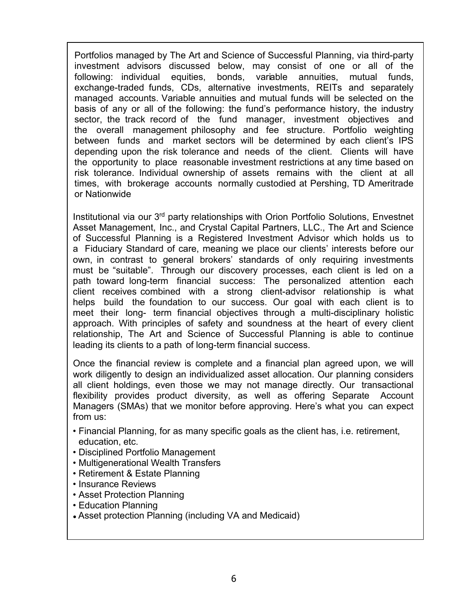Portfolios managed by The Art and Science of Successful Planning, via third-party investment advisors discussed below, may consist of one or all of the following: individual equities, bonds, variable annuities, mutual funds, exchange-traded funds, CDs, alternative investments, REITs and separately managed accounts. Variable annuities and mutual funds will be selected on the basis of any or all of the following: the fund's performance history, the industry sector, the track record of the fund manager, investment objectives and the overall management philosophy and fee structure. Portfolio weighting between funds and market sectors will be determined by each client's IPS depending upon the risk tolerance and needs of the client. Clients will have the opportunity to place reasonable investment restrictions at any time based on risk tolerance. Individual ownership of assets remains with the client at all times, with brokerage accounts normally custodied at Pershing, TD Ameritrade or Nationwide

Institutional via our 3rd party relationships with Orion Portfolio Solutions, Envestnet Asset Management, Inc., and Crystal Capital Partners, LLC., The Art and Science of Successful Planning is a Registered Investment Advisor which holds us to a Fiduciary Standard of care, meaning we place our clients' interests before our own, in contrast to general brokers' standards of only requiring investments must be "suitable". Through our discovery processes, each client is led on a path toward long-term financial success: The personalized attention each client receives combined with a strong client-advisor relationship is what helps build the foundation to our success. Our goal with each client is to meet their long- term financial objectives through a multi-disciplinary holistic approach. With principles of safety and soundness at the heart of every client relationship, The Art and Science of Successful Planning is able to continue leading its clients to a path of long-term financial success.

Once the financial review is complete and a financial plan agreed upon, we will work diligently to design an individualized asset allocation. Our planning considers all client holdings, even those we may not manage directly. Our transactional flexibility provides product diversity, as well as offering Separate Account Managers (SMAs) that we monitor before approving. Here's what you can expect from us:

- Financial Planning, for as many specific goals as the client has, i.e. retirement, education, etc.
- Disciplined Portfolio Management
- Multigenerational Wealth Transfers
- Retirement & Estate Planning
- Insurance Reviews
- Asset Protection Planning
- Education Planning
- Asset protection Planning (including VA and Medicaid)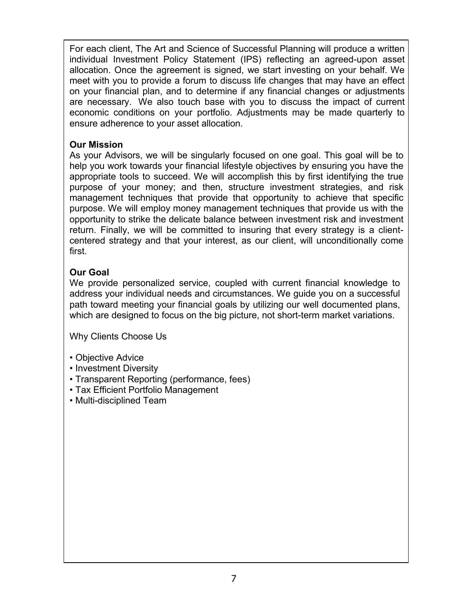For each client, The Art and Science of Successful Planning will produce a written individual Investment Policy Statement (IPS) reflecting an agreed-upon asset allocation. Once the agreement is signed, we start investing on your behalf. We meet with you to provide a forum to discuss life changes that may have an effect on your financial plan, and to determine if any financial changes or adjustments are necessary. We also touch base with you to discuss the impact of current economic conditions on your portfolio. Adjustments may be made quarterly to ensure adherence to your asset allocation.

#### **Our Mission**

As your Advisors, we will be singularly focused on one goal. This goal will be to help you work towards your financial lifestyle objectives by ensuring you have the appropriate tools to succeed. We will accomplish this by first identifying the true purpose of your money; and then, structure investment strategies, and risk management techniques that provide that opportunity to achieve that specific purpose. We will employ money management techniques that provide us with the opportunity to strike the delicate balance between investment risk and investment return. Finally, we will be committed to insuring that every strategy is a clientcentered strategy and that your interest, as our client, will unconditionally come first.

#### **Our Goal**

We provide personalized service, coupled with current financial knowledge to address your individual needs and circumstances. We guide you on a successful path toward meeting your financial goals by utilizing our well documented plans, which are designed to focus on the big picture, not short-term market variations.

Why Clients Choose Us

- Objective Advice
- Investment Diversity
- Transparent Reporting (performance, fees)
- Tax Efficient Portfolio Management
- Multi-disciplined Team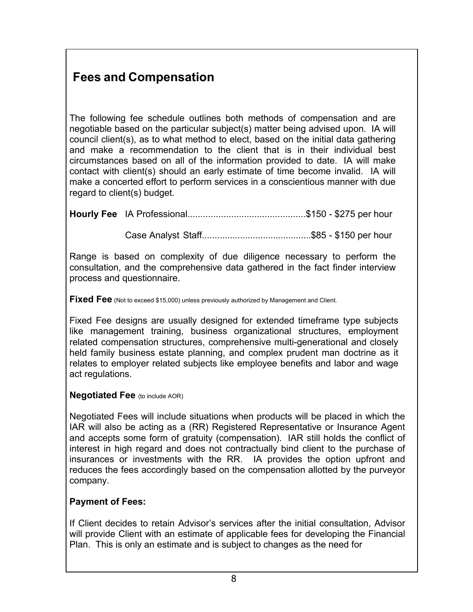### **Fees and Compensation**

The following fee schedule outlines both methods of compensation and are negotiable based on the particular subject(s) matter being advised upon. IA will council client(s), as to what method to elect, based on the initial data gathering and make a recommendation to the client that is in their individual best circumstances based on all of the information provided to date. IA will make contact with client(s) should an early estimate of time become invalid. IA will make a concerted effort to perform services in a conscientious manner with due regard to client(s) budget.

**Hourly Fee** IA Professional..............................................\$150 - \$275 per hour

Case Analyst Staff...........................................\$85 - \$150 per hour

Range is based on complexity of due diligence necessary to perform the consultation, and the comprehensive data gathered in the fact finder interview process and questionnaire.

**Fixed Fee** (Not to exceed \$15,000) unless previously authorized by Management and Client.

Fixed Fee designs are usually designed for extended timeframe type subjects like management training, business organizational structures, employment related compensation structures, comprehensive multi-generational and closely held family business estate planning, and complex prudent man doctrine as it relates to employer related subjects like employee benefits and labor and wage act regulations.

#### **Negotiated Fee** (to include AOR)

Negotiated Fees will include situations when products will be placed in which the IAR will also be acting as a (RR) Registered Representative or Insurance Agent and accepts some form of gratuity (compensation). IAR still holds the conflict of interest in high regard and does not contractually bind client to the purchase of insurances or investments with the RR. IA provides the option upfront and reduces the fees accordingly based on the compensation allotted by the purveyor company.

#### **Payment of Fees:**

If Client decides to retain Advisor's services after the initial consultation, Advisor will provide Client with an estimate of applicable fees for developing the Financial Plan. This is only an estimate and is subject to changes as the need for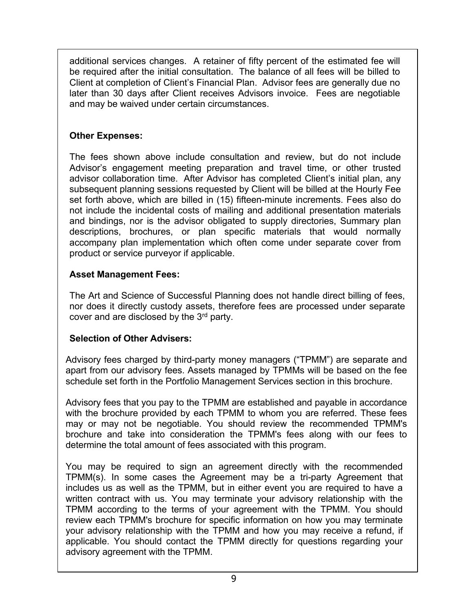additional services changes. A retainer of fifty percent of the estimated fee will be required after the initial consultation. The balance of all fees will be billed to Client at completion of Client's Financial Plan. Advisor fees are generally due no later than 30 days after Client receives Advisors invoice. Fees are negotiable and may be waived under certain circumstances.

#### **Other Expenses:**

The fees shown above include consultation and review, but do not include Advisor's engagement meeting preparation and travel time, or other trusted advisor collaboration time. After Advisor has completed Client's initial plan, any subsequent planning sessions requested by Client will be billed at the Hourly Fee set forth above, which are billed in (15) fifteen-minute increments. Fees also do not include the incidental costs of mailing and additional presentation materials and bindings, nor is the advisor obligated to supply directories, Summary plan descriptions, brochures, or plan specific materials that would normally accompany plan implementation which often come under separate cover from product or service purveyor if applicable.

#### **Asset Management Fees:**

The Art and Science of Successful Planning does not handle direct billing of fees, nor does it directly custody assets, therefore fees are processed under separate cover and are disclosed by the 3rd party.

#### **Selection of Other Advisers:**

Advisory fees charged by third-party money managers ("TPMM") are separate and apart from our advisory fees. Assets managed by TPMMs will be based on the fee schedule set forth in the Portfolio Management Services section in this brochure.

Advisory fees that you pay to the TPMM are established and payable in accordance with the brochure provided by each TPMM to whom you are referred. These fees may or may not be negotiable. You should review the recommended TPMM's brochure and take into consideration the TPMM's fees along with our fees to determine the total amount of fees associated with this program.

You may be required to sign an agreement directly with the recommended TPMM(s). In some cases the Agreement may be a tri-party Agreement that includes us as well as the TPMM, but in either event you are required to have a written contract with us. You may terminate your advisory relationship with the TPMM according to the terms of your agreement with the TPMM. You should review each TPMM's brochure for specific information on how you may terminate your advisory relationship with the TPMM and how you may receive a refund, if applicable. You should contact the TPMM directly for questions regarding your advisory agreement with the TPMM.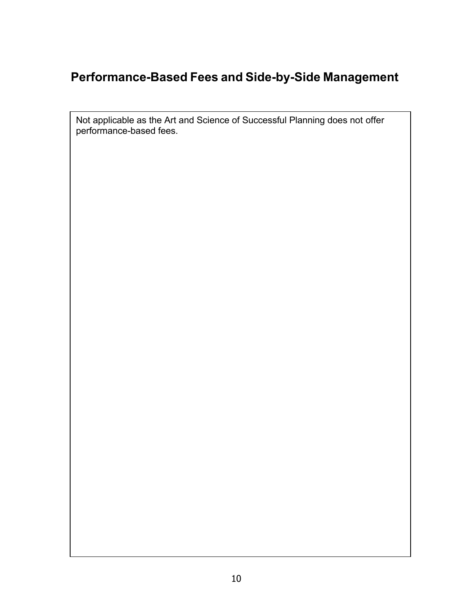## **Performance-Based Fees and Side-by-Side Management**

Not applicable as the Art and Science of Successful Planning does not offer performance-based fees.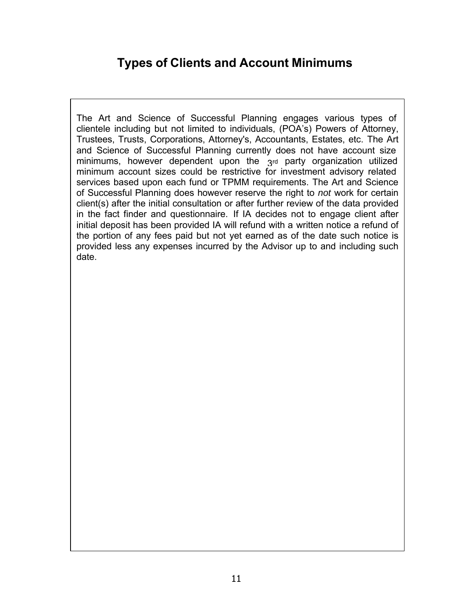### **Types of Clients and Account Minimums**

The Art and Science of Successful Planning engages various types of clientele including but not limited to individuals, (POA's) Powers of Attorney, Trustees, Trusts, Corporations, Attorney's, Accountants, Estates, etc. The Art and Science of Successful Planning currently does not have account size minimums, however dependent upon the  $3rd$  party organization utilized minimum account sizes could be restrictive for investment advisory related services based upon each fund or TPMM requirements. The Art and Science of Successful Planning does however reserve the right to *not* work for certain client(s) after the initial consultation or after further review of the data provided in the fact finder and questionnaire. If IA decides not to engage client after initial deposit has been provided IA will refund with a written notice a refund of the portion of any fees paid but not yet earned as of the date such notice is provided less any expenses incurred by the Advisor up to and including such date.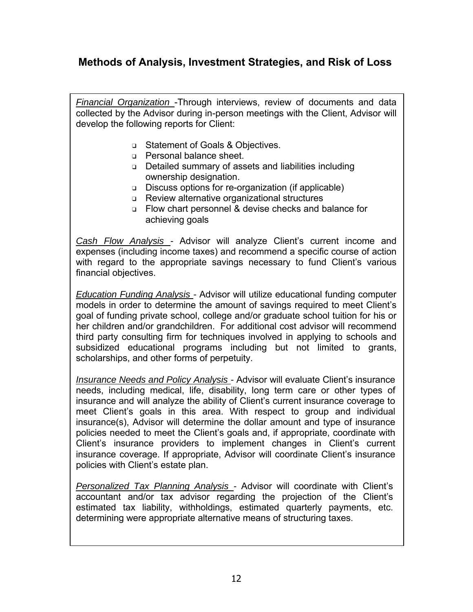#### **Methods of Analysis, Investment Strategies, and Risk of Loss**

*Financial Organization* -Through interviews, review of documents and data collected by the Advisor during in-person meetings with the Client, Advisor will develop the following reports for Client:

- ❑ Statement of Goals & Objectives.
- ❑ Personal balance sheet.
- ❑ Detailed summary of assets and liabilities including ownership designation.
- ❑ Discuss options for re-organization (if applicable)
- ❑ Review alternative organizational structures
- ❑ Flow chart personnel & devise checks and balance for achieving goals

*Cash Flow Analysis -* Advisor will analyze Client's current income and expenses (including income taxes) and recommend a specific course of action with regard to the appropriate savings necessary to fund Client's various financial objectives.

*Education Funding Analysis -* Advisor will utilize educational funding computer models in order to determine the amount of savings required to meet Client's goal of funding private school, college and/or graduate school tuition for his or her children and/or grandchildren. For additional cost advisor will recommend third party consulting firm for techniques involved in applying to schools and subsidized educational programs including but not limited to grants, scholarships, and other forms of perpetuity.

*Insurance Needs and Policy Analysis -* Advisor will evaluate Client's insurance needs, including medical, life, disability, long term care or other types of insurance and will analyze the ability of Client's current insurance coverage to meet Client's goals in this area. With respect to group and individual insurance(s), Advisor will determine the dollar amount and type of insurance policies needed to meet the Client's goals and, if appropriate, coordinate with Client's insurance providers to implement changes in Client's current insurance coverage. If appropriate, Advisor will coordinate Client's insurance policies with Client's estate plan.

*Personalized Tax Planning Analysis -* Advisor will coordinate with Client's accountant and/or tax advisor regarding the projection of the Client's estimated tax liability, withholdings, estimated quarterly payments, etc. determining were appropriate alternative means of structuring taxes.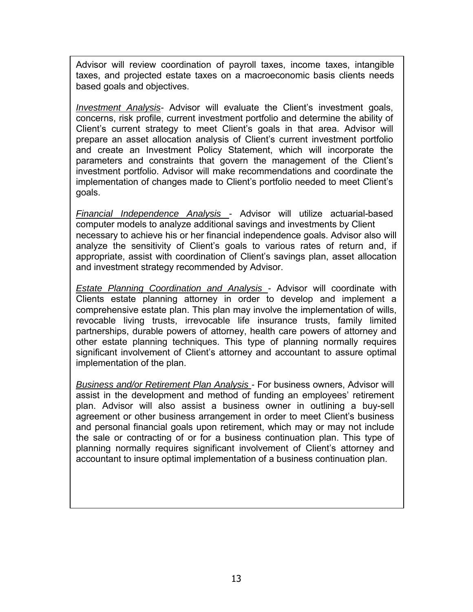Advisor will review coordination of payroll taxes, income taxes, intangible taxes, and projected estate taxes on a macroeconomic basis clients needs based goals and objectives.

*Investment Analysis-* Advisor will evaluate the Client's investment goals, concerns, risk profile, current investment portfolio and determine the ability of Client's current strategy to meet Client's goals in that area. Advisor will prepare an asset allocation analysis of Client's current investment portfolio and create an Investment Policy Statement, which will incorporate the parameters and constraints that govern the management of the Client's investment portfolio. Advisor will make recommendations and coordinate the implementation of changes made to Client's portfolio needed to meet Client's goals.

*Financial Independence Analysis -* Advisor will utilize actuarial-based computer models to analyze additional savings and investments by Client necessary to achieve his or her financial independence goals. Advisor also will analyze the sensitivity of Client's goals to various rates of return and, if appropriate, assist with coordination of Client's savings plan, asset allocation and investment strategy recommended by Advisor.

*Estate Planning Coordination and Analysis -* Advisor will coordinate with Clients estate planning attorney in order to develop and implement a comprehensive estate plan. This plan may involve the implementation of wills, revocable living trusts, irrevocable life insurance trusts, family limited partnerships, durable powers of attorney, health care powers of attorney and other estate planning techniques. This type of planning normally requires significant involvement of Client's attorney and accountant to assure optimal implementation of the plan.

*Business and/or Retirement Plan Analysis -* For business owners, Advisor will assist in the development and method of funding an employees' retirement plan. Advisor will also assist a business owner in outlining a buy-sell agreement or other business arrangement in order to meet Client's business and personal financial goals upon retirement, which may or may not include the sale or contracting of or for a business continuation plan. This type of planning normally requires significant involvement of Client's attorney and accountant to insure optimal implementation of a business continuation plan.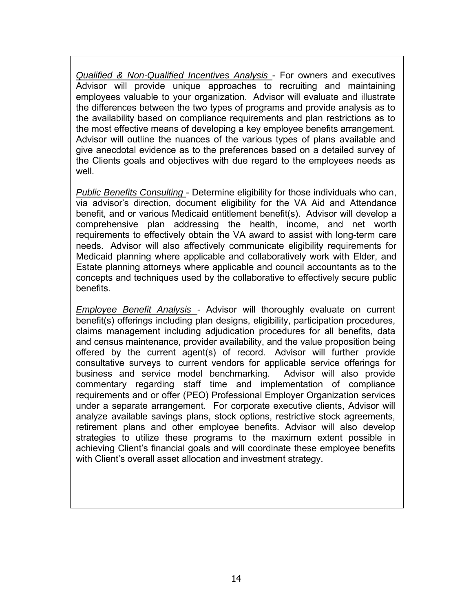*Qualified & Non-Qualified Incentives Analysis* - For owners and executives Advisor will provide unique approaches to recruiting and maintaining employees valuable to your organization. Advisor will evaluate and illustrate the differences between the two types of programs and provide analysis as to the availability based on compliance requirements and plan restrictions as to the most effective means of developing a key employee benefits arrangement. Advisor will outline the nuances of the various types of plans available and give anecdotal evidence as to the preferences based on a detailed survey of the Clients goals and objectives with due regard to the employees needs as well.

*Public Benefits Consulting* - Determine eligibility for those individuals who can, via advisor's direction, document eligibility for the VA Aid and Attendance benefit, and or various Medicaid entitlement benefit(s). Advisor will develop a comprehensive plan addressing the health, income, and net worth requirements to effectively obtain the VA award to assist with long-term care needs. Advisor will also affectively communicate eligibility requirements for Medicaid planning where applicable and collaboratively work with Elder, and Estate planning attorneys where applicable and council accountants as to the concepts and techniques used by the collaborative to effectively secure public benefits.

*Employee Benefit Analysis -* Advisor will thoroughly evaluate on current benefit(s) offerings including plan designs, eligibility, participation procedures, claims management including adjudication procedures for all benefits, data and census maintenance, provider availability, and the value proposition being offered by the current agent(s) of record. Advisor will further provide consultative surveys to current vendors for applicable service offerings for business and service model benchmarking. Advisor will also provide commentary regarding staff time and implementation of compliance requirements and or offer (PEO) Professional Employer Organization services under a separate arrangement. For corporate executive clients, Advisor will analyze available savings plans, stock options, restrictive stock agreements, retirement plans and other employee benefits. Advisor will also develop strategies to utilize these programs to the maximum extent possible in achieving Client's financial goals and will coordinate these employee benefits with Client's overall asset allocation and investment strategy.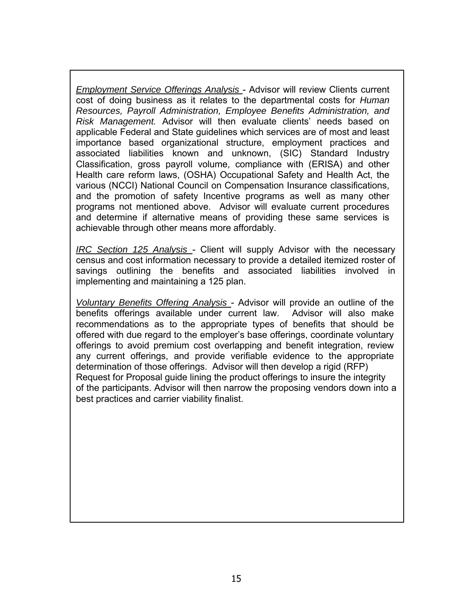*Employment Service Offerings Analysis* - Advisor will review Clients current cost of doing business as it relates to the departmental costs for *Human Resources, Payroll Administration, Employee Benefits Administration, and Risk Management.* Advisor will then evaluate clients' needs based on applicable Federal and State guidelines which services are of most and least importance based organizational structure, employment practices and associated liabilities known and unknown, (SIC) Standard Industry Classification, gross payroll volume, compliance with (ERISA) and other Health care reform laws, (OSHA) Occupational Safety and Health Act, the various (NCCI) National Council on Compensation Insurance classifications, and the promotion of safety Incentive programs as well as many other programs not mentioned above. Advisor will evaluate current procedures and determine if alternative means of providing these same services is achievable through other means more affordably.

*IRC Section 125 Analysis* - Client will supply Advisor with the necessary census and cost information necessary to provide a detailed itemized roster of savings outlining the benefits and associated liabilities involved in implementing and maintaining a 125 plan.

*Voluntary Benefits Offering Analysis* - Advisor will provide an outline of the benefits offerings available under current law. Advisor will also make recommendations as to the appropriate types of benefits that should be offered with due regard to the employer's base offerings, coordinate voluntary offerings to avoid premium cost overlapping and benefit integration, review any current offerings, and provide verifiable evidence to the appropriate determination of those offerings. Advisor will then develop a rigid (RFP) Request for Proposal guide lining the product offerings to insure the integrity of the participants. Advisor will then narrow the proposing vendors down into a best practices and carrier viability finalist.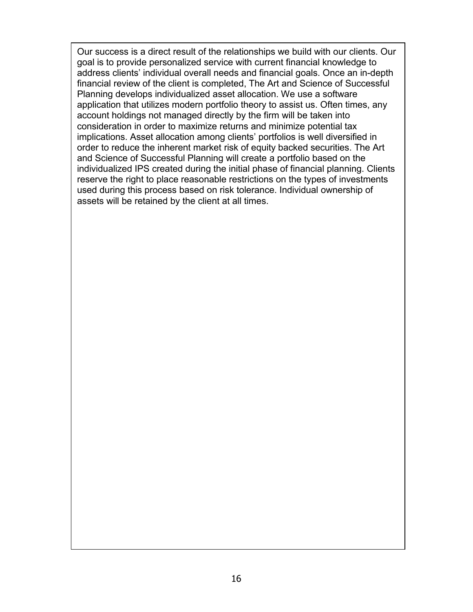Our success is a direct result of the relationships we build with our clients. Our goal is to provide personalized service with current financial knowledge to address clients' individual overall needs and financial goals. Once an in-depth financial review of the client is completed, The Art and Science of Successful Planning develops individualized asset allocation. We use a software application that utilizes modern portfolio theory to assist us. Often times, any account holdings not managed directly by the firm will be taken into consideration in order to maximize returns and minimize potential tax implications. Asset allocation among clients' portfolios is well diversified in order to reduce the inherent market risk of equity backed securities. The Art and Science of Successful Planning will create a portfolio based on the individualized IPS created during the initial phase of financial planning. Clients reserve the right to place reasonable restrictions on the types of investments used during this process based on risk tolerance. Individual ownership of assets will be retained by the client at all times.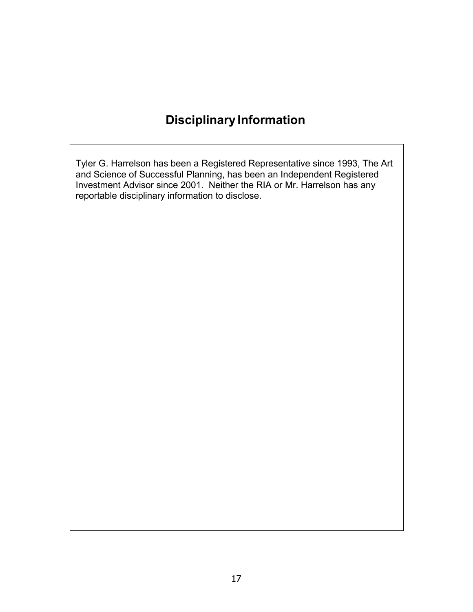### **Disciplinary Information**

Tyler G. Harrelson has been a Registered Representative since 1993, The Art and Science of Successful Planning, has been an Independent Registered Investment Advisor since 2001. Neither the RIA or Mr. Harrelson has any reportable disciplinary information to disclose.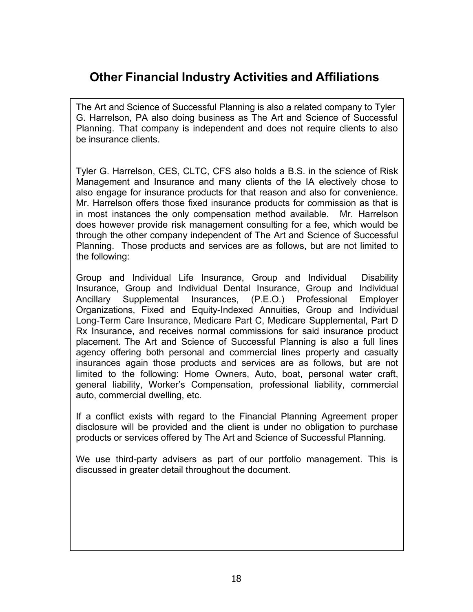### **Other Financial Industry Activities and Affiliations**

The Art and Science of Successful Planning is also a related company to Tyler G. Harrelson, PA also doing business as The Art and Science of Successful Planning. That company is independent and does not require clients to also be insurance clients.

Tyler G. Harrelson, CES, CLTC, CFS also holds a B.S. in the science of Risk Management and Insurance and many clients of the IA electively chose to also engage for insurance products for that reason and also for convenience. Mr. Harrelson offers those fixed insurance products for commission as that is in most instances the only compensation method available. Mr. Harrelson does however provide risk management consulting for a fee, which would be through the other company independent of The Art and Science of Successful Planning. Those products and services are as follows, but are not limited to the following:

Group and Individual Life Insurance, Group and Individual Disability Insurance, Group and Individual Dental Insurance, Group and Individual Ancillary Supplemental Insurances, (P.E.O.) Professional Employer Organizations, Fixed and Equity-Indexed Annuities, Group and Individual Long-Term Care Insurance, Medicare Part C, Medicare Supplemental, Part D Rx Insurance, and receives normal commissions for said insurance product placement. The Art and Science of Successful Planning is also a full lines agency offering both personal and commercial lines property and casualty insurances again those products and services are as follows, but are not limited to the following: Home Owners, Auto, boat, personal water craft, general liability, Worker's Compensation, professional liability, commercial auto, commercial dwelling, etc.

If a conflict exists with regard to the Financial Planning Agreement proper disclosure will be provided and the client is under no obligation to purchase products or services offered by The Art and Science of Successful Planning.

We use third-party advisers as part of our portfolio management. This is discussed in greater detail throughout the document.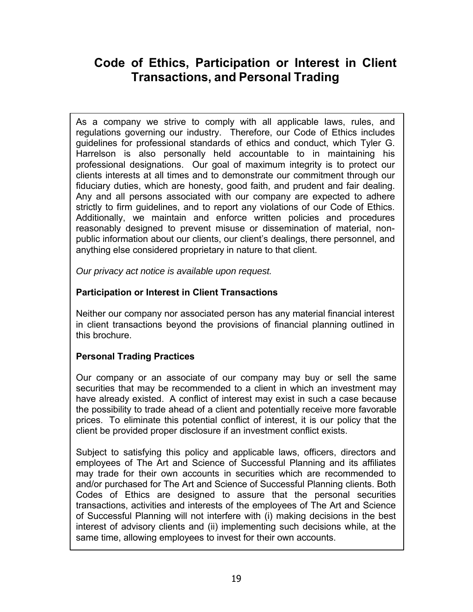### **Code of Ethics, Participation or Interest in Client Transactions, and Personal Trading**

As a company we strive to comply with all applicable laws, rules, and regulations governing our industry. Therefore, our Code of Ethics includes guidelines for professional standards of ethics and conduct, which Tyler G. Harrelson is also personally held accountable to in maintaining his professional designations. Our goal of maximum integrity is to protect our clients interests at all times and to demonstrate our commitment through our fiduciary duties, which are honesty, good faith, and prudent and fair dealing. Any and all persons associated with our company are expected to adhere strictly to firm guidelines, and to report any violations of our Code of Ethics. Additionally, we maintain and enforce written policies and procedures reasonably designed to prevent misuse or dissemination of material, nonpublic information about our clients, our client's dealings, there personnel, and anything else considered proprietary in nature to that client.

*Our privacy act notice is available upon request.*

#### **Participation or Interest in Client Transactions**

Neither our company nor associated person has any material financial interest in client transactions beyond the provisions of financial planning outlined in this brochure.

#### **Personal Trading Practices**

Our company or an associate of our company may buy or sell the same securities that may be recommended to a client in which an investment may have already existed. A conflict of interest may exist in such a case because the possibility to trade ahead of a client and potentially receive more favorable prices. To eliminate this potential conflict of interest, it is our policy that the client be provided proper disclosure if an investment conflict exists.

Subject to satisfying this policy and applicable laws, officers, directors and employees of The Art and Science of Successful Planning and its affiliates may trade for their own accounts in securities which are recommended to and/or purchased for The Art and Science of Successful Planning clients. Both Codes of Ethics are designed to assure that the personal securities transactions, activities and interests of the employees of The Art and Science of Successful Planning will not interfere with (i) making decisions in the best interest of advisory clients and (ii) implementing such decisions while, at the same time, allowing employees to invest for their own accounts.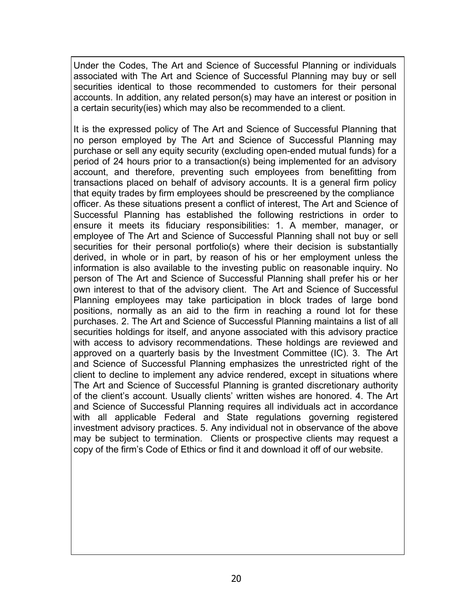Under the Codes, The Art and Science of Successful Planning or individuals associated with The Art and Science of Successful Planning may buy or sell securities identical to those recommended to customers for their personal accounts. In addition, any related person(s) may have an interest or position in a certain security(ies) which may also be recommended to a client.

It is the expressed policy of The Art and Science of Successful Planning that no person employed by The Art and Science of Successful Planning may purchase or sell any equity security (excluding open-ended mutual funds) for a period of 24 hours prior to a transaction(s) being implemented for an advisory account, and therefore, preventing such employees from benefitting from transactions placed on behalf of advisory accounts. It is a general firm policy that equity trades by firm employees should be prescreened by the compliance officer. As these situations present a conflict of interest, The Art and Science of Successful Planning has established the following restrictions in order to ensure it meets its fiduciary responsibilities: 1. A member, manager, or employee of The Art and Science of Successful Planning shall not buy or sell securities for their personal portfolio(s) where their decision is substantially derived, in whole or in part, by reason of his or her employment unless the information is also available to the investing public on reasonable inquiry. No person of The Art and Science of Successful Planning shall prefer his or her own interest to that of the advisory client. The Art and Science of Successful Planning employees may take participation in block trades of large bond positions, normally as an aid to the firm in reaching a round lot for these purchases. 2. The Art and Science of Successful Planning maintains a list of all securities holdings for itself, and anyone associated with this advisory practice with access to advisory recommendations. These holdings are reviewed and approved on a quarterly basis by the Investment Committee (IC). 3. The Art and Science of Successful Planning emphasizes the unrestricted right of the client to decline to implement any advice rendered, except in situations where The Art and Science of Successful Planning is granted discretionary authority of the client's account. Usually clients' written wishes are honored. 4. The Art and Science of Successful Planning requires all individuals act in accordance with all applicable Federal and State regulations governing registered investment advisory practices. 5. Any individual not in observance of the above may be subject to termination. Clients or prospective clients may request a copy of the firm's Code of Ethics or find it and download it off of our website.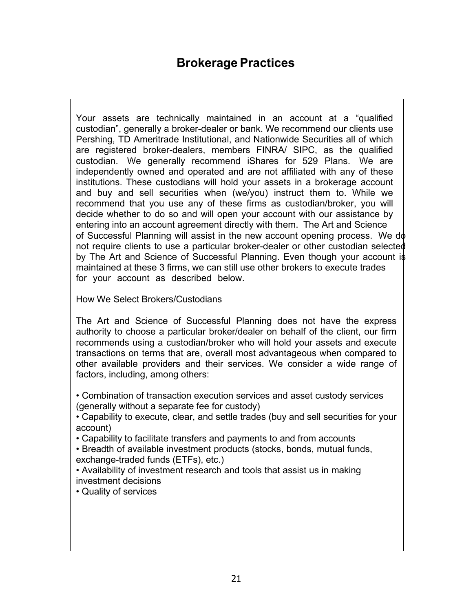### **Brokerage Practices**

Your assets are technically maintained in an account at a "qualified custodian", generally a broker-dealer or bank. We recommend our clients use Pershing, TD Ameritrade Institutional, and Nationwide Securities all of which are registered broker-dealers, members FINRA/ SIPC, as the qualified custodian. We generally recommend iShares for 529 Plans. We are independently owned and operated and are not affiliated with any of these institutions. These custodians will hold your assets in a brokerage account and buy and sell securities when (we/you) instruct them to. While we recommend that you use any of these firms as custodian/broker, you will decide whether to do so and will open your account with our assistance by entering into an account agreement directly with them. The Art and Science of Successful Planning will assist in the new account opening process. We do not require clients to use a particular broker-dealer or other custodian selected by The Art and Science of Successful Planning. Even though your account is maintained at these 3 firms, we can still use other brokers to execute trades for your account as described below.

How We Select Brokers/Custodians

The Art and Science of Successful Planning does not have the express authority to choose a particular broker/dealer on behalf of the client, our firm recommends using a custodian/broker who will hold your assets and execute transactions on terms that are, overall most advantageous when compared to other available providers and their services. We consider a wide range of factors, including, among others:

• Combination of transaction execution services and asset custody services (generally without a separate fee for custody)

• Capability to execute, clear, and settle trades (buy and sell securities for your account)

• Capability to facilitate transfers and payments to and from accounts

• Breadth of available investment products (stocks, bonds, mutual funds, exchange-traded funds (ETFs), etc.)

• Availability of investment research and tools that assist us in making investment decisions

• Quality of services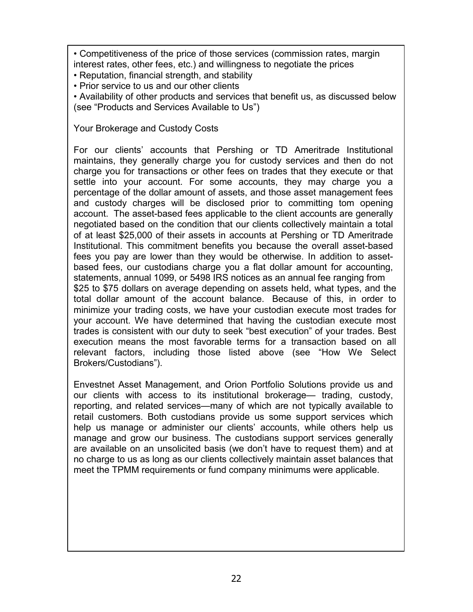• Competitiveness of the price of those services (commission rates, margin interest rates, other fees, etc.) and willingness to negotiate the prices

• Reputation, financial strength, and stability

• Prior service to us and our other clients

• Availability of other products and services that benefit us, as discussed below (see "Products and Services Available to Us")

Your Brokerage and Custody Costs

For our clients' accounts that Pershing or TD Ameritrade Institutional maintains, they generally charge you for custody services and then do not charge you for transactions or other fees on trades that they execute or that settle into your account. For some accounts, they may charge you a percentage of the dollar amount of assets, and those asset management fees and custody charges will be disclosed prior to committing tom opening account. The asset-based fees applicable to the client accounts are generally negotiated based on the condition that our clients collectively maintain a total of at least \$25,000 of their assets in accounts at Pershing or TD Ameritrade Institutional. This commitment benefits you because the overall asset-based fees you pay are lower than they would be otherwise. In addition to assetbased fees, our custodians charge you a flat dollar amount for accounting, statements, annual 1099, or 5498 IRS notices as an annual fee ranging from \$25 to \$75 dollars on average depending on assets held, what types, and the total dollar amount of the account balance. Because of this, in order to minimize your trading costs, we have your custodian execute most trades for your account. We have determined that having the custodian execute most trades is consistent with our duty to seek "best execution" of your trades. Best execution means the most favorable terms for a transaction based on all relevant factors, including those listed above (see "How We Select Brokers/Custodians").

Envestnet Asset Management, and Orion Portfolio Solutions provide us and our clients with access to its institutional brokerage— trading, custody, reporting, and related services—many of which are not typically available to retail customers. Both custodians provide us some support services which help us manage or administer our clients' accounts, while others help us manage and grow our business. The custodians support services generally are available on an unsolicited basis (we don't have to request them) and at no charge to us as long as our clients collectively maintain asset balances that meet the TPMM requirements or fund company minimums were applicable.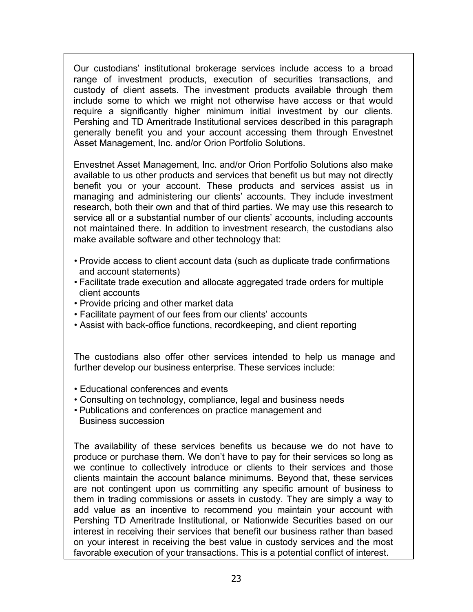Our custodians' institutional brokerage services include access to a broad range of investment products, execution of securities transactions, and custody of client assets. The investment products available through them include some to which we might not otherwise have access or that would require a significantly higher minimum initial investment by our clients. Pershing and TD Ameritrade Institutional services described in this paragraph generally benefit you and your account accessing them through Envestnet Asset Management, Inc. and/or Orion Portfolio Solutions.

Envestnet Asset Management, Inc. and/or Orion Portfolio Solutions also make available to us other products and services that benefit us but may not directly benefit you or your account. These products and services assist us in managing and administering our clients' accounts. They include investment research, both their own and that of third parties. We may use this research to service all or a substantial number of our clients' accounts, including accounts not maintained there. In addition to investment research, the custodians also make available software and other technology that:

- Provide access to client account data (such as duplicate trade confirmations and account statements)
- Facilitate trade execution and allocate aggregated trade orders for multiple client accounts
- Provide pricing and other market data
- Facilitate payment of our fees from our clients' accounts
- Assist with back-office functions, recordkeeping, and client reporting

The custodians also offer other services intended to help us manage and further develop our business enterprise. These services include:

- Educational conferences and events
- Consulting on technology, compliance, legal and business needs
- Publications and conferences on practice management and Business succession

The availability of these services benefits us because we do not have to produce or purchase them. We don't have to pay for their services so long as we continue to collectively introduce or clients to their services and those clients maintain the account balance minimums. Beyond that, these services are not contingent upon us committing any specific amount of business to them in trading commissions or assets in custody. They are simply a way to add value as an incentive to recommend you maintain your account with Pershing TD Ameritrade Institutional, or Nationwide Securities based on our interest in receiving their services that benefit our business rather than based on your interest in receiving the best value in custody services and the most favorable execution of your transactions. This is a potential conflict of interest.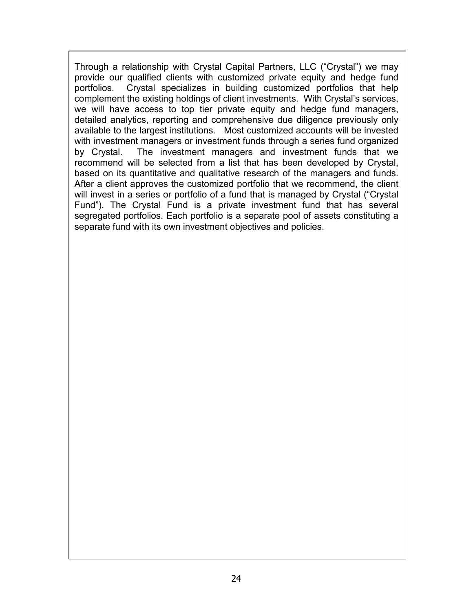Through a relationship with Crystal Capital Partners, LLC ("Crystal") we may provide our qualified clients with customized private equity and hedge fund portfolios. Crystal specializes in building customized portfolios that help complement the existing holdings of client investments. With Crystal's services, we will have access to top tier private equity and hedge fund managers, detailed analytics, reporting and comprehensive due diligence previously only available to the largest institutions. Most customized accounts will be invested with investment managers or investment funds through a series fund organized by Crystal. The investment managers and investment funds that we recommend will be selected from a list that has been developed by Crystal, based on its quantitative and qualitative research of the managers and funds. After a client approves the customized portfolio that we recommend, the client will invest in a series or portfolio of a fund that is managed by Crystal ("Crystal Fund"). The Crystal Fund is a private investment fund that has several segregated portfolios. Each portfolio is a separate pool of assets constituting a separate fund with its own investment objectives and policies.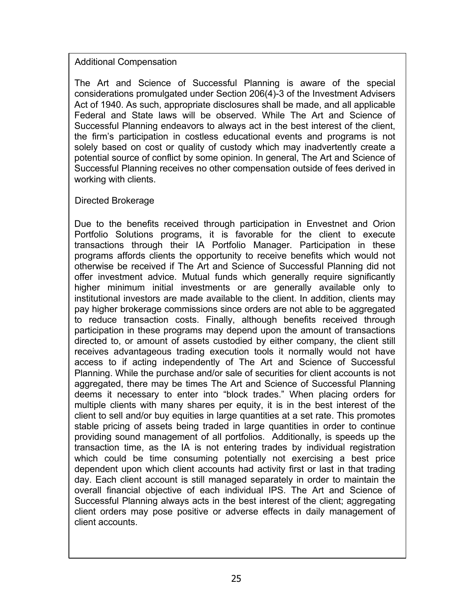#### Additional Compensation

The Art and Science of Successful Planning is aware of the special considerations promulgated under Section 206(4)-3 of the Investment Advisers Act of 1940. As such, appropriate disclosures shall be made, and all applicable Federal and State laws will be observed. While The Art and Science of Successful Planning endeavors to always act in the best interest of the client, the firm's participation in costless educational events and programs is not solely based on cost or quality of custody which may inadvertently create a potential source of conflict by some opinion. In general, The Art and Science of Successful Planning receives no other compensation outside of fees derived in working with clients.

#### Directed Brokerage

Due to the benefits received through participation in Envestnet and Orion Portfolio Solutions programs, it is favorable for the client to execute transactions through their IA Portfolio Manager. Participation in these programs affords clients the opportunity to receive benefits which would not otherwise be received if The Art and Science of Successful Planning did not offer investment advice. Mutual funds which generally require significantly higher minimum initial investments or are generally available only to institutional investors are made available to the client. In addition, clients may pay higher brokerage commissions since orders are not able to be aggregated to reduce transaction costs. Finally, although benefits received through participation in these programs may depend upon the amount of transactions directed to, or amount of assets custodied by either company, the client still receives advantageous trading execution tools it normally would not have access to if acting independently of The Art and Science of Successful Planning. While the purchase and/or sale of securities for client accounts is not aggregated, there may be times The Art and Science of Successful Planning deems it necessary to enter into "block trades." When placing orders for multiple clients with many shares per equity, it is in the best interest of the client to sell and/or buy equities in large quantities at a set rate. This promotes stable pricing of assets being traded in large quantities in order to continue providing sound management of all portfolios. Additionally, is speeds up the transaction time, as the IA is not entering trades by individual registration which could be time consuming potentially not exercising a best price dependent upon which client accounts had activity first or last in that trading day. Each client account is still managed separately in order to maintain the overall financial objective of each individual IPS. The Art and Science of Successful Planning always acts in the best interest of the client; aggregating client orders may pose positive or adverse effects in daily management of client accounts.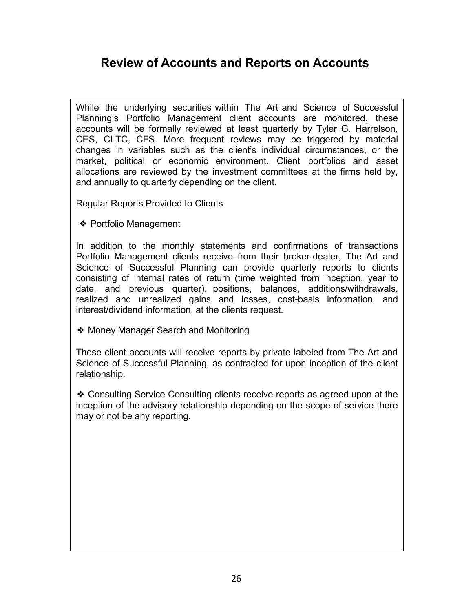### **Review of Accounts and Reports on Accounts**

While the underlying securities within The Art and Science of Successful Planning's Portfolio Management client accounts are monitored, these accounts will be formally reviewed at least quarterly by Tyler G. Harrelson, CES, CLTC, CFS. More frequent reviews may be triggered by material changes in variables such as the client's individual circumstances, or the market, political or economic environment. Client portfolios and asset allocations are reviewed by the investment committees at the firms held by, and annually to quarterly depending on the client.

Regular Reports Provided to Clients

❖ Portfolio Management

In addition to the monthly statements and confirmations of transactions Portfolio Management clients receive from their broker-dealer, The Art and Science of Successful Planning can provide quarterly reports to clients consisting of internal rates of return (time weighted from inception, year to date, and previous quarter), positions, balances, additions/withdrawals, realized and unrealized gains and losses, cost-basis information, and interest/dividend information, at the clients request.

❖ Money Manager Search and Monitoring

These client accounts will receive reports by private labeled from The Art and Science of Successful Planning, as contracted for upon inception of the client relationship.

❖ Consulting Service Consulting clients receive reports as agreed upon at the inception of the advisory relationship depending on the scope of service there may or not be any reporting.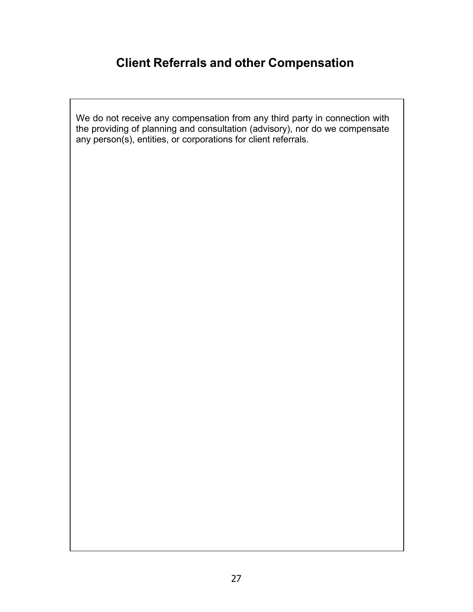### **Client Referrals and other Compensation**

We do not receive any compensation from any third party in connection with the providing of planning and consultation (advisory), nor do we compensate any person(s), entities, or corporations for client referrals.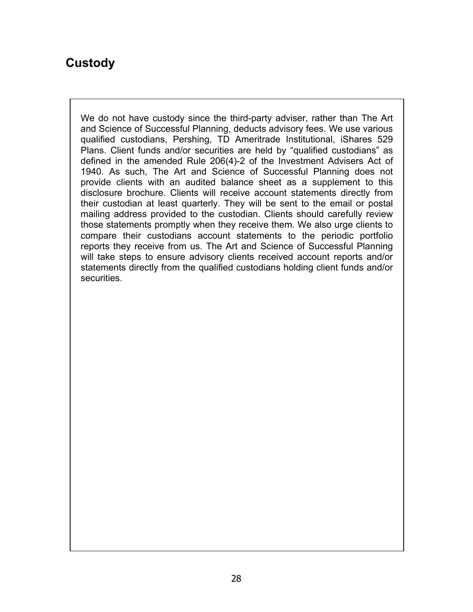### **Custody**

We do not have custody since the third-party adviser, rather than The Art and Science of Successful Planning, deducts advisory fees. We use various qualified custodians, Pershing, TD Ameritrade Institutional, iShares 529 Plans. Client funds and/or securities are held by "qualified custodians" as defined in the amended Rule 206(4)-2 of the Investment Advisers Act of 1940. As such, The Art and Science of Successful Planning does not provide clients with an audited balance sheet as a supplement to this disclosure brochure. Clients will receive account statements directly from their custodian at least quarterly. They will be sent to the email or postal mailing address provided to the custodian. Clients should carefully review those statements promptly when they receive them. We also urge clients to compare their custodians account statements to the periodic portfolio reports they receive from us. The Art and Science of Successful Planning will take steps to ensure advisory clients received account reports and/or statements directly from the qualified custodians holding client funds and/or securities.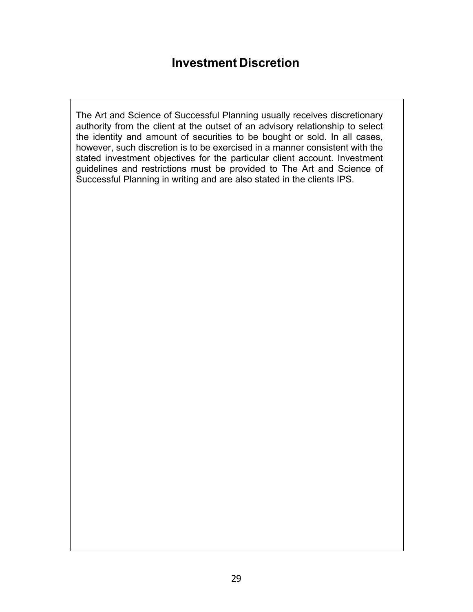### **Investment Discretion**

The Art and Science of Successful Planning usually receives discretionary authority from the client at the outset of an advisory relationship to select the identity and amount of securities to be bought or sold. In all cases, however, such discretion is to be exercised in a manner consistent with the stated investment objectives for the particular client account. Investment guidelines and restrictions must be provided to The Art and Science of Successful Planning in writing and are also stated in the clients IPS.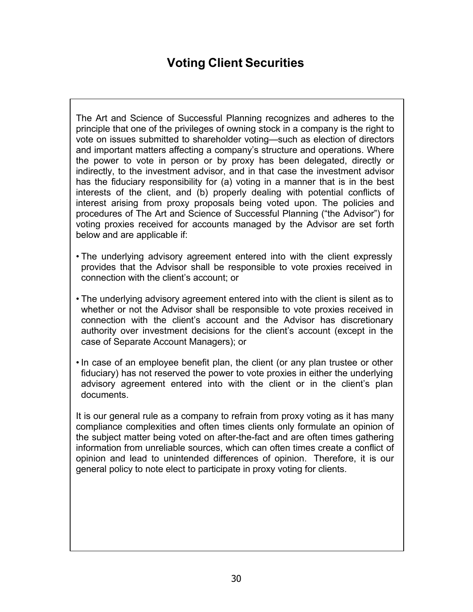### **Voting Client Securities**

The Art and Science of Successful Planning recognizes and adheres to the principle that one of the privileges of owning stock in a company is the right to vote on issues submitted to shareholder voting—such as election of directors and important matters affecting a company's structure and operations. Where the power to vote in person or by proxy has been delegated, directly or indirectly, to the investment advisor, and in that case the investment advisor has the fiduciary responsibility for (a) voting in a manner that is in the best interests of the client, and (b) properly dealing with potential conflicts of interest arising from proxy proposals being voted upon. The policies and procedures of The Art and Science of Successful Planning ("the Advisor") for voting proxies received for accounts managed by the Advisor are set forth below and are applicable if:

- The underlying advisory agreement entered into with the client expressly provides that the Advisor shall be responsible to vote proxies received in connection with the client's account; or
- The underlying advisory agreement entered into with the client is silent as to whether or not the Advisor shall be responsible to vote proxies received in connection with the client's account and the Advisor has discretionary authority over investment decisions for the client's account (except in the case of Separate Account Managers); or
- In case of an employee benefit plan, the client (or any plan trustee or other fiduciary) has not reserved the power to vote proxies in either the underlying advisory agreement entered into with the client or in the client's plan documents.

It is our general rule as a company to refrain from proxy voting as it has many compliance complexities and often times clients only formulate an opinion of the subject matter being voted on after-the-fact and are often times gathering information from unreliable sources, which can often times create a conflict of opinion and lead to unintended differences of opinion. Therefore, it is our general policy to note elect to participate in proxy voting for clients.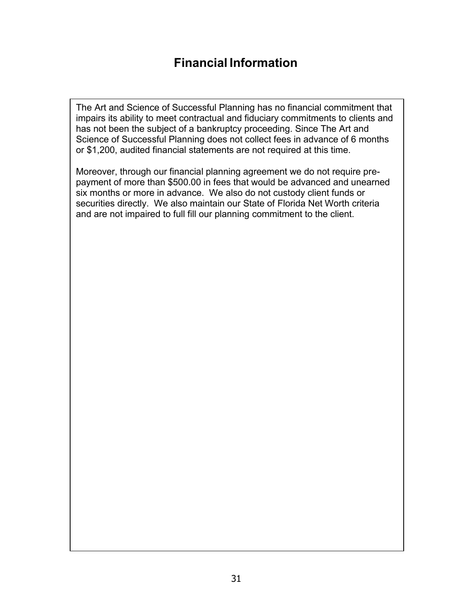### **Financial Information**

The Art and Science of Successful Planning has no financial commitment that impairs its ability to meet contractual and fiduciary commitments to clients and has not been the subject of a bankruptcy proceeding. Since The Art and Science of Successful Planning does not collect fees in advance of 6 months or \$1,200, audited financial statements are not required at this time.

Moreover, through our financial planning agreement we do not require prepayment of more than \$500.00 in fees that would be advanced and unearned six months or more in advance. We also do not custody client funds or securities directly. We also maintain our State of Florida Net Worth criteria and are not impaired to full fill our planning commitment to the client.